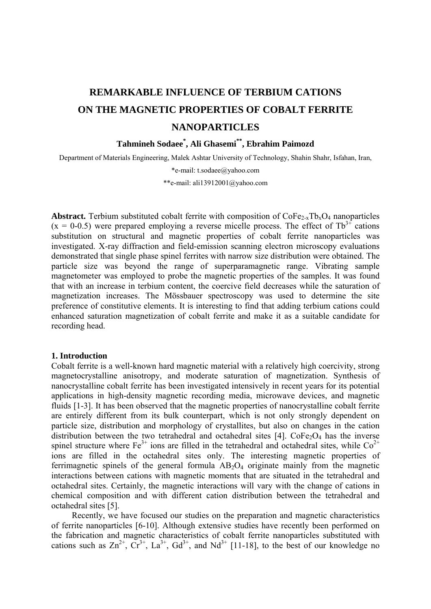# **REMARKABLE INFLUENCE OF TERBIUM CATIONS ON THE MAGNETIC PROPERTIES OF COBALT FERRITE NANOPARTICLES**

# **Tahmineh Sodaee\* , Ali Ghasemi\*\*, Ebrahim Paimozd**

Department of Materials Engineering, Malek Ashtar University of Technology, Shahin Shahr, Isfahan, Iran,

\*e-mail: t.sodaee@yahoo.com

\*\*e-mail: ali13912001@yahoo.com

**Abstract.** Terbium substituted cobalt ferrite with composition of  $\text{CoFe}_{2-x}\text{Th}_x\text{O}_4$  nanoparticles  $(x = 0.0.5)$  were prepared employing a reverse micelle process. The effect of Tb<sup>3+</sup> cations substitution on structural and magnetic properties of cobalt ferrite nanoparticles was investigated. X-ray diffraction and field-emission scanning electron microscopy evaluations demonstrated that single phase spinel ferrites with narrow size distribution were obtained. The particle size was beyond the range of superparamagnetic range. Vibrating sample magnetometer was employed to probe the magnetic properties of the samples. It was found that with an increase in terbium content, the coercive field decreases while the saturation of magnetization increases. The Mössbauer spectroscopy was used to determine the site preference of constitutive elements. It is interesting to find that adding terbium cations could enhanced saturation magnetization of cobalt ferrite and make it as a suitable candidate for recording head.

#### **1. Introduction**

Cobalt ferrite is a well-known hard magnetic material with a relatively high coercivity, strong magnetocrystalline anisotropy, and moderate saturation of magnetization. Synthesis of nanocrystalline cobalt ferrite has been investigated intensively in recent years for its potential applications in high-density magnetic recording media, microwave devices, and magnetic fluids [1-3]. It has been observed that the magnetic properties of nanocrystalline cobalt ferrite are entirely different from its bulk counterpart, which is not only strongly dependent on particle size, distribution and morphology of crystallites, but also on changes in the cation distribution between the two tetrahedral and octahedral sites [4].  $\text{CoFe}_2\text{O}_4$  has the inverse spinel structure where  $Fe^{3+}$  ions are filled in the tetrahedral and octahedral sites, while  $Co^{2+}$ ions are filled in the octahedral sites only. The interesting magnetic properties of ferrimagnetic spinels of the general formula  $AB_2O_4$  originate mainly from the magnetic interactions between cations with magnetic moments that are situated in the tetrahedral and octahedral sites. Certainly, the magnetic interactions will vary with the change of cations in chemical composition and with different cation distribution between the tetrahedral and octahedral sites [5].

Recently, we have focused our studies on the preparation and magnetic characteristics of ferrite nanoparticles [6-10]. Although extensive studies have recently been performed on the fabrication and magnetic characteristics of cobalt ferrite nanoparticles substituted with cations such as  $\text{Zn}^{2+}$ ,  $\text{Cr}^{3+}$ ,  $\text{La}^{3+}$ ,  $\text{Gd}^{3+}$ , and  $\text{Nd}^{3+}$  [11-18], to the best of our knowledge no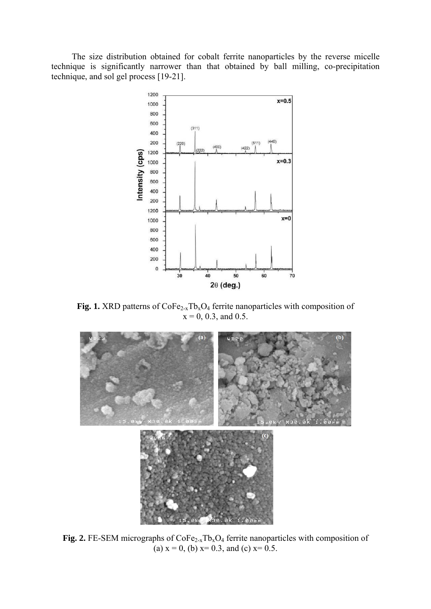The size distribution obtained for cobalt ferrite nanoparticles by the reverse micelle technique is significantly narrower than that obtained by ball milling, co-precipitation technique, and sol gel process [19-21].



**Fig. 1.** XRD patterns of  $\text{CoFe}_{2-x}\text{Tb}_x\text{O}_4$  ferrite nanoparticles with composition of  $x = 0, 0.3,$  and 0.5.



**Fig. 2.** FE-SEM micrographs of  $\text{CoFe}_{2-x}\text{Tb}_x\text{O}_4$  ferrite nanoparticles with composition of (a)  $x = 0$ , (b)  $x= 0.3$ , and (c)  $x= 0.5$ .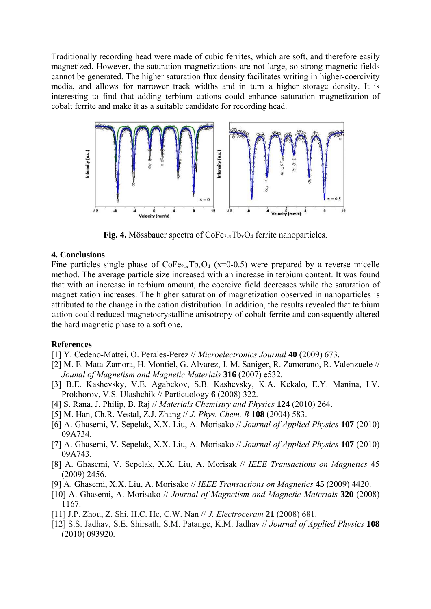Traditionally recording head were made of cubic ferrites, which are soft, and therefore easily magnetized. However, the saturation magnetizations are not large, so strong magnetic fields cannot be generated. The higher saturation flux density facilitates writing in higher-coercivity media, and allows for narrower track widths and in turn a higher storage density. It is interesting to find that adding terbium cations could enhance saturation magnetization of cobalt ferrite and make it as a suitable candidate for recording head.



**Fig. 4.** Mössbauer spectra of  $\text{CoFe}_{2-x}\text{Th}_x\text{O}_4$  ferrite nanoparticles.

## **4. Conclusions**

Fine particles single phase of  $\text{CoFe}_{2-x}\text{Tb}_x\text{O}_4$  (x=0-0.5) were prepared by a reverse micelle method. The average particle size increased with an increase in terbium content. It was found that with an increase in terbium amount, the coercive field decreases while the saturation of magnetization increases. The higher saturation of magnetization observed in nanoparticles is attributed to the change in the cation distribution. In addition, the results revealed that terbium cation could reduced magnetocrystalline anisotropy of cobalt ferrite and consequently altered the hard magnetic phase to a soft one.

### **References**

- [1] Y. Cedeno-Mattei, O. Perales-Perez // *Microelectronics Journal* **40** (2009) 673.
- [2] M. E. Mata-Zamora, H. Montiel, G. Alvarez, J. M. Saniger, R. Zamorano, R. Valenzuele // *Jounal of Magnetism and Magnetic Materials* **316** (2007) e532.
- [3] B.E. Kashevsky, V.E. Agabekov, S.B. Kashevsky, K.A. Kekalo, E.Y. Manina, I.V. Prokhorov, V.S. Ulashchik // Particuology **6** (2008) 322.
- [4] S. Rana, J. Philip, B. Raj // *Materials Chemistry and Physics* **124** (2010) 264.
- [5] M. Han, Ch.R. Vestal, Z.J. Zhang // *J. Phys. Chem. B* **108** (2004) 583.
- [6] A. Ghasemi, V. Sepelak, X.X. Liu, A. Morisako // *Journal of Applied Physics* **107** (2010) 09A734.
- [7] A. Ghasemi, V. Sepelak, X.X. Liu, A. Morisako // *Journal of Applied Physics* **107** (2010) 09A743.
- [8] A. Ghasemi, V. Sepelak, X.X. Liu, A. Morisak // *IEEE Transactions on Magnetics* 45 (2009) 2456.
- [9] A. Ghasemi, X.X. Liu, A. Morisako // *IEEE Transactions on Magnetics* **45** (2009) 4420.
- [10] A. Ghasemi, A. Morisako // *Journal of Magnetism and Magnetic Materials* **320** (2008) 1167.
- [11] J.P. Zhou, Z. Shi, H.C. He, C.W. Nan // *J. Electroceram* **21** (2008) 681.
- [12] S.S. Jadhav, S.E. Shirsath, S.M. Patange, K.M. Jadhav // *Journal of Applied Physics* **108** (2010) 093920.